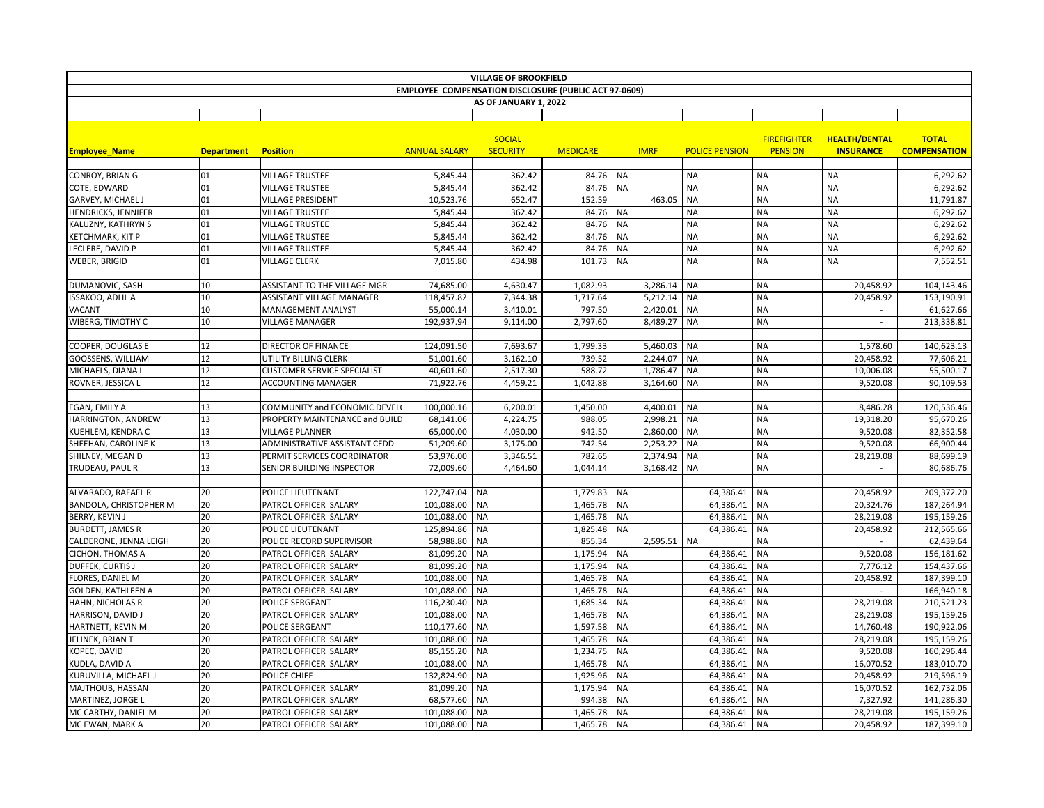|                                                              |                   |                                    |                      | <b>VILLAGE OF BROOKFIELD</b> |                 |           |               |                       |                    |                          |                     |
|--------------------------------------------------------------|-------------------|------------------------------------|----------------------|------------------------------|-----------------|-----------|---------------|-----------------------|--------------------|--------------------------|---------------------|
| <b>EMPLOYEE COMPENSATION DISCLOSURE (PUBLIC ACT 97-0609)</b> |                   |                                    |                      |                              |                 |           |               |                       |                    |                          |                     |
|                                                              |                   |                                    |                      | AS OF JANUARY 1, 2022        |                 |           |               |                       |                    |                          |                     |
|                                                              |                   |                                    |                      |                              |                 |           |               |                       |                    |                          |                     |
|                                                              |                   |                                    |                      | <b>SOCIAL</b>                |                 |           |               |                       | <b>FIREFIGHTER</b> | <b>HEALTH/DENTAL</b>     | <b>TOTAL</b>        |
| <b>Employee Name</b>                                         | <b>Department</b> | <b>Position</b>                    | <b>ANNUAL SALARY</b> | <b>SECURITY</b>              | <b>MEDICARE</b> |           | <b>IMRF</b>   | <b>POLICE PENSION</b> | <b>PENSION</b>     | <b>INSURANCE</b>         | <b>COMPENSATION</b> |
|                                                              |                   |                                    |                      |                              |                 |           |               |                       |                    |                          |                     |
| CONROY, BRIAN G                                              | 01                | <b>VILLAGE TRUSTEE</b>             | 5,845.44             | 362.42                       | 84.76           | NA        |               | <b>NA</b>             | <b>NA</b>          | <b>NA</b>                | 6,292.62            |
| COTE, EDWARD                                                 | 01                | <b>VILLAGE TRUSTEE</b>             | 5,845.44             | 362.42                       | 84.76           | <b>NA</b> |               | <b>NA</b>             | <b>NA</b>          | <b>NA</b>                | 6,292.62            |
| GARVEY, MICHAEL J                                            | 01                | <b>VILLAGE PRESIDENT</b>           | 10,523.76            | 652.47                       | 152.59          |           | 463.05        | <b>NA</b>             | <b>NA</b>          | <b>NA</b>                | 11,791.87           |
| <b>HENDRICKS, JENNIFER</b>                                   | 01                | <b>VILLAGE TRUSTEE</b>             | 5,845.44             | 362.42                       | 84.76           | <b>NA</b> |               | <b>NA</b>             | <b>NA</b>          | <b>NA</b>                | 6,292.62            |
| KALUZNY, KATHRYN S                                           | 01                | <b>VILLAGE TRUSTEE</b>             | 5,845.44             | 362.42                       | 84.76           | <b>NA</b> |               | <b>NA</b>             | <b>NA</b>          | <b>NA</b>                | 6,292.62            |
| KETCHMARK, KIT P                                             | 01                | <b>VILLAGE TRUSTEE</b>             | 5,845.44             | 362.42                       | 84.76           | <b>NA</b> |               | <b>NA</b>             | <b>NA</b>          | <b>NA</b>                | 6,292.62            |
| LECLERE, DAVID P                                             | 01                | <b>VILLAGE TRUSTEE</b>             | 5,845.44             | 362.42                       | 84.76           | <b>NA</b> |               | <b>NA</b>             | <b>NA</b>          | <b>NA</b>                | 6,292.62            |
| WEBER, BRIGID                                                | 01                | <b>VILLAGE CLERK</b>               | 7,015.80             | 434.98                       | 101.73          | <b>NA</b> |               | <b>NA</b>             | <b>NA</b>          | <b>NA</b>                | 7,552.51            |
|                                                              |                   |                                    |                      |                              |                 |           |               |                       |                    |                          |                     |
| DUMANOVIC, SASH                                              | 10                | ASSISTANT TO THE VILLAGE MGR       | 74,685.00            | 4,630.47                     | 1,082.93        |           | 3,286.14      | <b>NA</b>             | <b>NA</b>          | 20,458.92                | 104,143.46          |
| ISSAKOO, ADLIL A                                             | 10                | <b>ASSISTANT VILLAGE MANAGER</b>   | 118,457.82           | 7,344.38                     | 1,717.64        |           | 5,212.14      | <b>NA</b>             | <b>NA</b>          | 20,458.92                | 153,190.91          |
| VACANT                                                       | 10                | <b>MANAGEMENT ANALYST</b>          | 55,000.14            | 3,410.01                     | 797.50          |           | 2,420.01      | <b>NA</b>             | <b>NA</b>          |                          | 61,627.66           |
| WIBERG, TIMOTHY C                                            | 10                | <b>VILLAGE MANAGER</b>             | 192,937.94           | 9,114.00                     | 2,797.60        |           | 8,489.27      | <b>NA</b>             | <b>NA</b>          | $\overline{\phantom{a}}$ | 213,338.81          |
|                                                              |                   |                                    |                      |                              |                 |           |               |                       |                    |                          |                     |
| COOPER, DOUGLAS E                                            | 12                | <b>DIRECTOR OF FINANCE</b>         | 124,091.50           | 7,693.67                     | 1,799.33        |           | 5,460.03      | <b>NA</b>             | <b>NA</b>          | 1,578.60                 | 140,623.13          |
| GOOSSENS, WILLIAM                                            | 12                | UTILITY BILLING CLERK              | 51,001.60            | 3,162.10                     | 739.52          |           | 2,244.07      | <b>NA</b>             | <b>NA</b>          | 20,458.92                | 77,606.21           |
| MICHAELS, DIANA L                                            | 12                | <b>CUSTOMER SERVICE SPECIALIST</b> | 40,601.60            | 2,517.30                     | 588.72          |           | 1,786.47      | <b>NA</b>             | <b>NA</b>          | 10,006.08                | 55,500.17           |
| ROVNER, JESSICA L                                            | 12                | <b>ACCOUNTING MANAGER</b>          | 71,922.76            | 4,459.21                     | 1,042.88        |           | 3,164.60      | <b>NA</b>             | <b>NA</b>          | 9,520.08                 | 90,109.53           |
|                                                              |                   |                                    |                      |                              |                 |           |               |                       |                    |                          |                     |
| EGAN, EMILY A                                                | 13                | COMMUNITY and ECONOMIC DEVEL       | 100,000.16           | 6,200.01                     | 1,450.00        |           | 4,400.01   NA |                       | <b>NA</b>          | 8,486.28                 | 120,536.46          |
| HARRINGTON, ANDREW                                           | 13                | PROPERTY MAINTENANCE and BUILD     | 68,141.06            | 4,224.75                     | 988.05          |           | 2,998.21      | <b>NA</b>             | <b>NA</b>          | 19,318.20                | 95,670.26           |
| KUEHLEM, KENDRA C                                            | 13                | <b>VILLAGE PLANNER</b>             | 65,000.00            | 4,030.00                     | 942.50          |           | 2,860.00 NA   |                       | <b>NA</b>          | 9,520.08                 | 82,352.58           |
| SHEEHAN, CAROLINE K                                          | 13                | ADMINISTRATIVE ASSISTANT CEDD      | 51,209.60            | 3,175.00                     | 742.54          |           | 2,253.22      | <b>NA</b>             | <b>NA</b>          | 9,520.08                 | 66,900.44           |
| SHILNEY, MEGAN D                                             | 13                | PERMIT SERVICES COORDINATOR        | 53,976.00            | 3,346.51                     | 782.65          |           | 2,374.94      | <b>NA</b>             | <b>NA</b>          | 28,219.08                | 88,699.19           |
| TRUDEAU, PAUL R                                              | 13                | SENIOR BUILDING INSPECTOR          | 72,009.60            | 4,464.60                     | 1,044.14        |           | 3,168.42      | <b>NA</b>             | <b>NA</b>          | $\overline{\phantom{a}}$ | 80,686.76           |
|                                                              |                   |                                    |                      |                              |                 |           |               |                       |                    |                          |                     |
| ALVARADO, RAFAEL R                                           | 20                | POLICE LIEUTENANT                  | 122,747.04           | <b>NA</b>                    | 1,779.83        | <b>NA</b> |               | 64,386.41             | <b>NA</b>          | 20,458.92                | 209,372.20          |
| BANDOLA, CHRISTOPHER M                                       | 20                | PATROL OFFICER SALARY              | 101,088.00           | <b>NA</b>                    | 1,465.78        | <b>NA</b> |               | 64,386.41             | <b>NA</b>          | 20,324.76                | 187,264.94          |
| BERRY, KEVIN J                                               | 20                | PATROL OFFICER SALARY              | 101,088.00           | <b>NA</b>                    | 1,465.78        | <b>NA</b> |               | 64,386.41             | NA                 | 28,219.08                | 195,159.26          |
| BURDETT, JAMES R                                             | 20                | POLICE LIEUTENANT                  | 125,894.86           | <b>NA</b>                    | 1,825.48        | <b>NA</b> |               | 64,386.41             | <b>NA</b>          | 20,458.92                | 212,565.66          |
| CALDERONE, JENNA LEIGH                                       | 20                | POLICE RECORD SUPERVISOR           | 58,988.80            | <b>NA</b>                    | 855.34          |           | 2,595.51 NA   |                       | <b>NA</b>          |                          | 62,439.64           |
| CICHON, THOMAS A                                             | 20                | PATROL OFFICER SALARY              | 81,099.20            | NA                           | 1,175.94        | <b>NA</b> |               | 64,386.41             | <b>NA</b>          | 9,520.08                 | 156,181.62          |
| DUFFEK, CURTIS J                                             | 20                | PATROL OFFICER SALARY              | 81,099.20            | <b>NA</b>                    | 1,175.94        | <b>NA</b> |               | 64,386.41             | <b>NA</b>          | 7,776.12                 | 154,437.66          |
| FLORES, DANIEL M                                             | 20                | PATROL OFFICER SALARY              | 101,088.00           | <b>NA</b>                    | 1,465.78        | <b>NA</b> |               | 64,386.41             | <b>NA</b>          | 20,458.92                | 187,399.10          |
| GOLDEN, KATHLEEN A                                           | 20                | PATROL OFFICER SALARY              | 101,088.00           | <b>NA</b>                    | 1,465.78        | <b>NA</b> |               | 64,386.41             | <b>NA</b>          |                          | 166,940.18          |
| HAHN, NICHOLAS R                                             | 20                | POLICE SERGEANT                    | 116,230.40           | <b>NA</b>                    | 1,685.34        | <b>NA</b> |               | 64,386.41             | <b>NA</b>          | 28,219.08                | 210,521.23          |
| HARRISON, DAVID J                                            | 20                | PATROL OFFICER SALARY              | 101,088.00           | <b>NA</b>                    | 1,465.78        | <b>NA</b> |               | 64,386.41             | <b>NA</b>          | 28,219.08                | 195,159.26          |
| HARTNETT, KEVIN M                                            | 20                | POLICE SERGEANT                    | 110,177.60           | <b>NA</b>                    | 1,597.58        | <b>NA</b> |               | 64,386.41             | <b>NA</b>          | 14,760.48                | 190,922.06          |
| JELINEK, BRIAN T                                             | 20                | PATROL OFFICER SALARY              | 101,088.00           | <b>NA</b>                    | 1,465.78        | <b>NA</b> |               | 64,386.41             | <b>NA</b>          | 28,219.08                | 195,159.26          |
| KOPEC, DAVID                                                 | 20                | PATROL OFFICER SALARY              | 85,155.20            | <b>NA</b>                    | 1,234.75        | <b>NA</b> |               | 64,386.41             | <b>NA</b>          | 9,520.08                 | 160,296.44          |
| KUDLA, DAVID A                                               | 20                | PATROL OFFICER SALARY              | 101,088.00           | ΝA                           | 1,465.78        | <b>NA</b> |               | 64,386.41             | NA                 | 16,070.52                | 183,010.70          |
| KURUVILLA, MICHAEL J                                         | 20                | POLICE CHIEF                       | 132,824.90           | <b>NA</b>                    | 1,925.96        | <b>NA</b> |               | 64,386.41             | <b>NA</b>          | 20,458.92                | 219,596.19          |
| MAJTHOUB, HASSAN                                             | 20                | PATROL OFFICER SALARY              | 81,099.20            | <b>NA</b>                    | 1,175.94        | <b>NA</b> |               | 64,386.41             | <b>NA</b>          | 16,070.52                | 162,732.06          |
| MARTINEZ, JORGE L                                            | 20                | PATROL OFFICER SALARY              | 68,577.60            | <b>NA</b>                    | 994.38          | <b>NA</b> |               | 64,386.41             | <b>NA</b>          | 7,327.92                 | 141,286.30          |
| MC CARTHY, DANIEL M                                          | 20                | PATROL OFFICER SALARY              | 101,088.00           | NA                           | 1,465.78        | <b>NA</b> |               | 64,386.41             | <b>NA</b>          | 28,219.08                | 195,159.26          |
| MC EWAN, MARK A                                              | 20                | PATROL OFFICER SALARY              | 101,088.00           | <b>NA</b>                    | 1,465.78        | <b>NA</b> |               | 64,386.41             | <b>NA</b>          | 20,458.92                | 187,399.10          |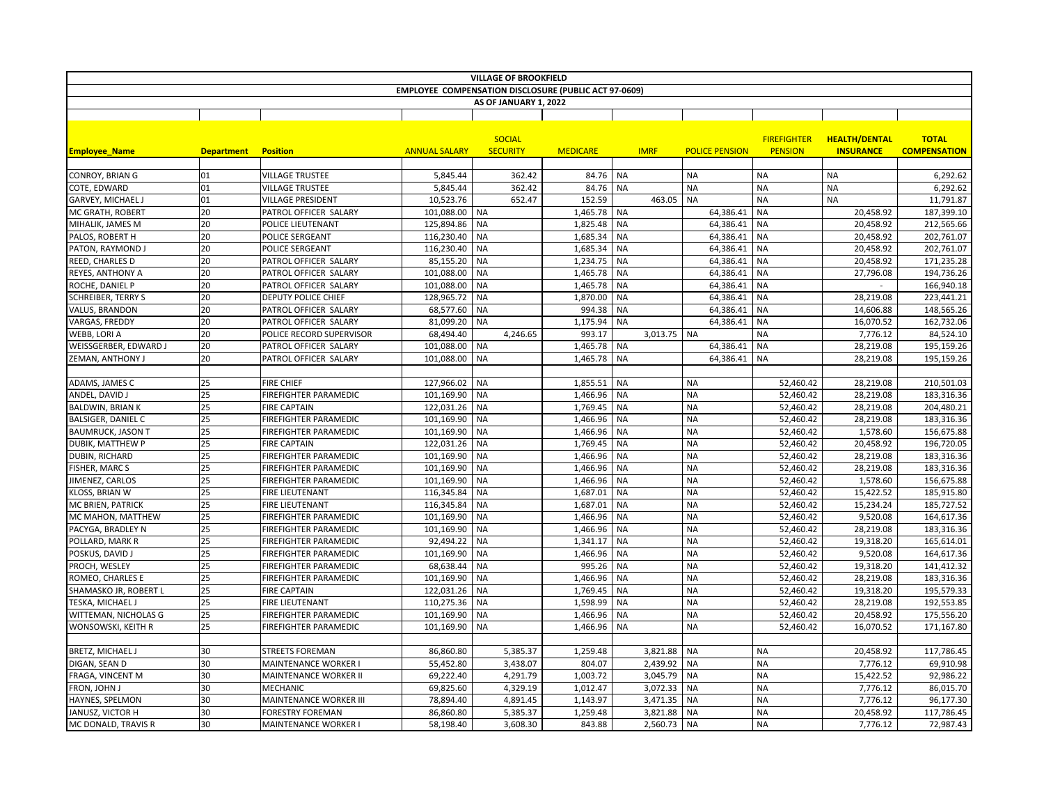|                           |                   |                               |                                                              | <b>VILLAGE OF BROOKFIELD</b>     |                 |           |             |                       |                                      |                                          |                                     |
|---------------------------|-------------------|-------------------------------|--------------------------------------------------------------|----------------------------------|-----------------|-----------|-------------|-----------------------|--------------------------------------|------------------------------------------|-------------------------------------|
|                           |                   |                               | <b>EMPLOYEE COMPENSATION DISCLOSURE (PUBLIC ACT 97-0609)</b> |                                  |                 |           |             |                       |                                      |                                          |                                     |
|                           |                   |                               |                                                              | AS OF JANUARY 1, 2022            |                 |           |             |                       |                                      |                                          |                                     |
|                           |                   |                               |                                                              |                                  |                 |           |             |                       |                                      |                                          |                                     |
| <b>Employee Name</b>      | <b>Department</b> | <b>Position</b>               | <b>ANNUAL SALARY</b>                                         | <b>SOCIAL</b><br><b>SECURITY</b> | <b>MEDICARE</b> |           | <b>IMRF</b> | <b>POLICE PENSION</b> | <b>FIREFIGHTER</b><br><b>PENSION</b> | <b>HEALTH/DENTAL</b><br><b>INSURANCE</b> | <b>TOTAL</b><br><b>COMPENSATION</b> |
|                           |                   |                               |                                                              |                                  |                 |           |             |                       |                                      |                                          |                                     |
| CONROY, BRIAN G           | 01                | <b>VILLAGE TRUSTEE</b>        | 5,845.44                                                     | 362.42                           | 84.76           | <b>NA</b> |             | <b>NA</b>             | <b>NA</b>                            | <b>NA</b>                                | 6,292.62                            |
| COTE, EDWARD              | 01                | <b>VILLAGE TRUSTEE</b>        | 5,845.44                                                     | 362.42                           | 84.76           | <b>NA</b> |             | <b>NA</b>             | <b>NA</b>                            | <b>NA</b>                                | 6,292.62                            |
| <b>GARVEY, MICHAEL J</b>  | 01                | <b>VILLAGE PRESIDENT</b>      | 10,523.76                                                    | 652.47                           | 152.59          |           | 463.05      | <b>NA</b>             | <b>NA</b>                            | <b>NA</b>                                | 11,791.87                           |
| MC GRATH, ROBERT          | 20                | PATROL OFFICER SALARY         | 101,088.00                                                   | <b>NA</b>                        | 1,465.78        | <b>NA</b> |             | 64,386.41             | <b>NA</b>                            | 20,458.92                                | 187,399.10                          |
| MIHALIK, JAMES M          | 20                | <b>POLICE LIEUTENANT</b>      | 125,894.86                                                   | <b>NA</b>                        | 1,825.48        | <b>NA</b> |             | 64,386.41             | NA                                   | 20,458.92                                | 212,565.66                          |
| PALOS, ROBERT H           | 20                | POLICE SERGEANT               | 116,230.40                                                   | <b>NA</b>                        | 1,685.34        | <b>NA</b> |             | 64,386.41             | <b>NA</b>                            | 20,458.92                                | 202,761.07                          |
| PATON, RAYMOND J          | 20                | POLICE SERGEANT               | 116,230.40                                                   | <b>NA</b>                        | 1,685.34        | <b>NA</b> |             | 64,386.41             | <b>NA</b>                            | 20,458.92                                | 202,761.07                          |
| REED, CHARLES D           | 20                | PATROL OFFICER SALARY         | 85,155.20                                                    | <b>NA</b>                        | 1,234.75        | <b>NA</b> |             | 64,386.41             | <b>NA</b>                            | 20,458.92                                | 171,235.28                          |
| REYES, ANTHONY A          | 20                | PATROL OFFICER SALARY         | 101,088.00                                                   | <b>NA</b>                        | 1,465.78        | <b>NA</b> |             | 64,386.41             | <b>NA</b>                            | 27,796.08                                | 194,736.26                          |
| ROCHE, DANIEL P           | 20                | PATROL OFFICER SALARY         | 101,088.00                                                   | <b>NA</b>                        | 1,465.78        | <b>NA</b> |             | 64,386.41             | <b>NA</b>                            |                                          | 166,940.18                          |
| <b>SCHREIBER, TERRY S</b> | 20                | <b>DEPUTY POLICE CHIEF</b>    | 128,965.72                                                   | <b>NA</b>                        | 1,870.00        | <b>NA</b> |             | 64,386.41             | <b>NA</b>                            | 28,219.08                                | 223,441.21                          |
| VALUS, BRANDON            | 20                | PATROL OFFICER SALARY         | 68,577.60                                                    | <b>NA</b>                        | 994.38          | <b>NA</b> |             | 64,386.41             | <b>NA</b>                            | 14,606.88                                | 148,565.26                          |
| VARGAS, FREDDY            | 20                | PATROL OFFICER SALARY         | 81,099.20                                                    | <b>NA</b>                        | 1,175.94        | <b>NA</b> |             | 64,386.41             | <b>NA</b>                            | 16,070.52                                | 162,732.06                          |
| WEBB, LORI A              | 20                | POLICE RECORD SUPERVISOR      | 68,494.40                                                    | 4,246.65                         | 993.17          |           | 3,013.75 NA |                       | <b>NA</b>                            | 7,776.12                                 | 84,524.10                           |
| WEISSGERBER, EDWARD J     | 20                | PATROL OFFICER SALARY         | 101,088.00                                                   | <b>NA</b>                        | 1,465.78        | <b>NA</b> |             | 64,386.41             | <b>NA</b>                            | 28,219.08                                | 195,159.26                          |
| ZEMAN, ANTHONY J          | 20                | PATROL OFFICER SALARY         | 101,088.00                                                   | <b>NA</b>                        | 1,465.78        | <b>NA</b> |             | 64,386.41             | <b>NA</b>                            | 28,219.08                                | 195,159.26                          |
| ADAMS, JAMES C            | 25                | <b>FIRE CHIEF</b>             | 127,966.02                                                   | <b>NA</b>                        | 1,855.51        | <b>NA</b> |             | <b>NA</b>             | 52,460.42                            | 28,219.08                                | 210,501.03                          |
| ANDEL, DAVID .            | 25                | <b>FIREFIGHTER PARAMEDIC</b>  | 101,169.90                                                   | <b>NA</b>                        | 1,466.96        | <b>NA</b> |             | <b>NA</b>             | 52,460.42                            | 28,219.08                                | 183,316.36                          |
| <b>BALDWIN, BRIAN K</b>   | 25                | <b>FIRE CAPTAIN</b>           | 122,031.26                                                   | <b>NA</b>                        | 1,769.45        | <b>NA</b> |             | <b>NA</b>             | 52,460.42                            | 28,219.08                                | 204,480.21                          |
| BALSIGER, DANIEL C        | 25                | <b>FIREFIGHTER PARAMEDIC</b>  | 101,169.90                                                   | <b>NA</b>                        | 1,466.96        | <b>NA</b> |             | <b>NA</b>             | 52,460.42                            | 28,219.08                                | 183,316.36                          |
| <b>BAUMRUCK, JASON T</b>  | 25                | <b>FIREFIGHTER PARAMEDIC</b>  | 101,169.90                                                   | <b>NA</b>                        | 1,466.96        | NA        |             | <b>NA</b>             | 52,460.42                            | 1,578.60                                 | 156,675.88                          |
| DUBIK, MATTHEW P          | 25                | <b>FIRE CAPTAIN</b>           | 122,031.26                                                   | <b>NA</b>                        | 1,769.45        | <b>NA</b> |             | <b>NA</b>             | 52,460.42                            | 20,458.92                                | 196,720.05                          |
| DUBIN, RICHARD            | 25                | FIREFIGHTER PARAMEDIC         | 101,169.90                                                   | <b>NA</b>                        | 1,466.96        | <b>NA</b> |             | <b>NA</b>             | 52,460.42                            | 28,219.08                                | 183,316.36                          |
| FISHER, MARC S            | 25                | <b>FIREFIGHTER PARAMEDIC</b>  | 101,169.90                                                   | <b>NA</b>                        | 1,466.96        | <b>NA</b> |             | <b>NA</b>             | 52,460.42                            | 28,219.08                                | 183,316.36                          |
| JIMENEZ, CARLOS           | 25                | FIREFIGHTER PARAMEDIC         | 101,169.90                                                   | <b>NA</b>                        | 1,466.96        | <b>NA</b> |             | <b>NA</b>             | 52,460.42                            | 1,578.60                                 | 156,675.88                          |
| KLOSS, BRIAN W            | 25                | <b>FIRE LIEUTENANT</b>        | 116,345.84                                                   | <b>NA</b>                        | 1,687.01        | <b>NA</b> |             | <b>NA</b>             | 52,460.42                            | 15,422.52                                | 185,915.80                          |
| MC BRIEN, PATRICK         | 25                | <b>FIRE LIEUTENANT</b>        | 116,345.84                                                   | <b>NA</b>                        | 1,687.01        | <b>NA</b> |             | <b>NA</b>             | 52,460.42                            | 15,234.24                                | 185,727.52                          |
| MC MAHON, MATTHEW         | 25                | <b>FIREFIGHTER PARAMEDIC</b>  | 101,169.90                                                   | <b>NA</b>                        | 1,466.96        | <b>NA</b> |             | <b>NA</b>             | 52,460.42                            | 9,520.08                                 | 164,617.36                          |
| PACYGA, BRADLEY N         | 25                | <b>FIREFIGHTER PARAMEDIC</b>  | 101,169.90                                                   | <b>NA</b>                        | 1,466.96        | <b>NA</b> |             | <b>NA</b>             | 52,460.42                            | 28,219.08                                | 183,316.36                          |
| POLLARD, MARK R           | 25                | <b>FIREFIGHTER PARAMEDIC</b>  | 92,494.22                                                    | <b>NA</b>                        | 1,341.17        | <b>NA</b> |             | <b>NA</b>             | 52,460.42                            | 19,318.20                                | 165,614.01                          |
| POSKUS, DAVID J           | 25                | <b>FIREFIGHTER PARAMEDIC</b>  | 101,169.90                                                   | <b>NA</b>                        | 1,466.96        | <b>NA</b> |             | <b>NA</b>             | 52,460.42                            | 9,520.08                                 | 164,617.36                          |
| PROCH, WESLEY             | 25                | <b>FIREFIGHTER PARAMEDIC</b>  | 68,638.44                                                    | ΝA                               | 995.26          | <b>NA</b> |             | <b>NA</b>             | 52,460.42                            | 19,318.20                                | 141,412.32                          |
| ROMEO, CHARLES E          | 25                | FIREFIGHTER PARAMEDIC         | 101,169.90                                                   | <b>NA</b>                        | 1,466.96        | <b>NA</b> |             | <b>NA</b>             | 52,460.42                            | 28,219.08                                | 183,316.36                          |
| SHAMASKO JR, ROBERT L     | 25                | <b>FIRE CAPTAIN</b>           | 122,031.26                                                   | <b>NA</b>                        | 1,769.45        | <b>NA</b> |             | <b>NA</b>             | 52,460.42                            | 19,318.20                                | 195,579.33                          |
| TESKA, MICHAEL J          | 25                | <b>FIRE LIEUTENANT</b>        | 110,275.36                                                   | <b>NA</b>                        | 1,598.99        | <b>NA</b> |             | <b>NA</b>             | 52,460.42                            | 28,219.08                                | 192,553.85                          |
| WITTEMAN, NICHOLAS G      | 25                | <b>FIREFIGHTER PARAMEDIC</b>  | 101,169.90                                                   | <b>NA</b>                        | 1,466.96        | <b>NA</b> |             | <b>NA</b>             | 52,460.42                            | 20,458.92                                | 175,556.20                          |
| WONSOWSKI, KEITH R        | 25                | FIREFIGHTER PARAMEDIC         | 101,169.90                                                   | <b>NA</b>                        | 1,466.96        | <b>NA</b> |             | <b>NA</b>             | 52,460.42                            | 16,070.52                                | 171,167.80                          |
|                           |                   |                               |                                                              |                                  |                 |           |             |                       |                                      |                                          |                                     |
| BRETZ, MICHAEL J          | 30                | <b>STREETS FOREMAN</b>        | 86,860.80                                                    | 5,385.37                         | 1,259.48        |           | 3,821.88    | <b>NA</b>             | <b>NA</b>                            | 20,458.92                                | 117,786.45                          |
| DIGAN, SEAN D             | 30                | <b>MAINTENANCE WORKER I</b>   | 55,452.80                                                    | 3,438.07                         | 804.07          |           | 2,439.92    | <b>NA</b>             | <b>NA</b>                            | 7,776.12                                 | 69,910.98                           |
| FRAGA, VINCENT M          | 30                | MAINTENANCE WORKER II         | 69,222.40                                                    | 4,291.79                         | 1,003.72        |           | 3,045.79    | <b>NA</b>             | <b>NA</b>                            | 15,422.52                                | 92,986.22                           |
| FRON, JOHN J              | 30                | <b>MECHANIC</b>               | 69,825.60                                                    | 4,329.19                         | 1,012.47        |           | 3,072.33    | <b>NA</b>             | <b>NA</b>                            | 7,776.12                                 | 86,015.70                           |
| HAYNES, SPELMON           | 30                | <b>MAINTENANCE WORKER III</b> | 78,894.40                                                    | 4,891.45                         | 1,143.97        |           | 3,471.35    | <b>NA</b>             | <b>NA</b>                            | 7,776.12                                 | 96,177.30                           |
| JANUSZ, VICTOR H          | 30                | <b>FORESTRY FOREMAN</b>       | 86,860.80                                                    | 5,385.37                         | 1,259.48        |           | 3,821.88    | <b>NA</b>             | <b>NA</b>                            | 20,458.92                                | 117,786.45                          |
| MC DONALD, TRAVIS R       | 30                | <b>MAINTENANCE WORKER I</b>   | 58,198.40                                                    | 3,608.30                         | 843.88          |           | 2,560.73    | <b>NA</b>             | <b>NA</b>                            | 7,776.12                                 | 72,987.43                           |